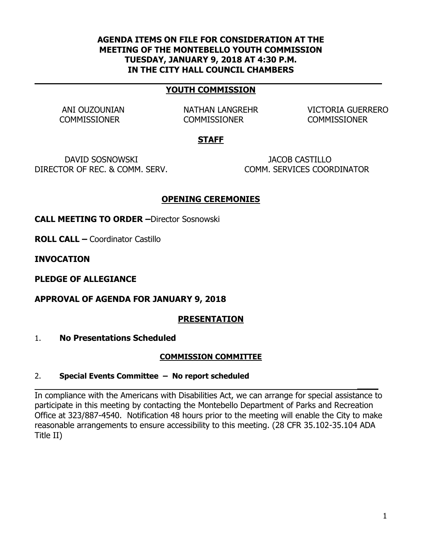## **AGENDA ITEMS ON FILE FOR CONSIDERATION AT THE MEETING OF THE MONTEBELLO YOUTH COMMISSION TUESDAY, JANUARY 9, 2018 AT 4:30 P.M. IN THE CITY HALL COUNCIL CHAMBERS**

#### **YOUTH COMMISSION**

COMMISSIONER COMMISSIONER COMMISSIONER

ANI OUZOUNIAN NATHAN LANGREHR VICTORIA GUERRERO

## **STAFF**

DAVID SOSNOWSKI JACOB CASTILLO DIRECTOR OF REC. & COMM. SERV. COMM. SERVICES COORDINATOR

## **OPENING CEREMONIES**

**CALL MEETING TO ORDER –**Director Sosnowski

**ROLL CALL –** Coordinator Castillo

**INVOCATION** 

**PLEDGE OF ALLEGIANCE**

**APPROVAL OF AGENDA FOR JANUARY 9, 2018**

## **PRESENTATION**

#### 1. **No Presentations Scheduled**

#### **COMMISSION COMMITTEE**

#### 2. **Special Events Committee – No report scheduled**

In compliance with the Americans with Disabilities Act, we can arrange for special assistance to participate in this meeting by contacting the Montebello Department of Parks and Recreation Office at 323/887-4540. Notification 48 hours prior to the meeting will enable the City to make reasonable arrangements to ensure accessibility to this meeting. (28 CFR 35.102-35.104 ADA Title II)

**\_\_\_\_**